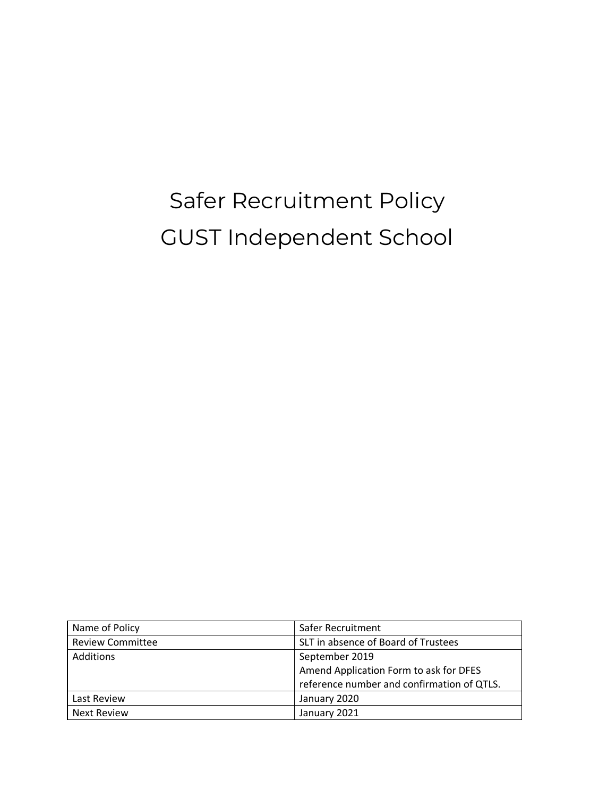# Safer Recruitment Policy GUST Independent School

| Name of Policy          | Safer Recruitment                          |
|-------------------------|--------------------------------------------|
| <b>Review Committee</b> | SLT in absence of Board of Trustees        |
| Additions               | September 2019                             |
|                         | Amend Application Form to ask for DFES     |
|                         | reference number and confirmation of QTLS. |
| Last Review             | January 2020                               |
| Next Review             | January 2021                               |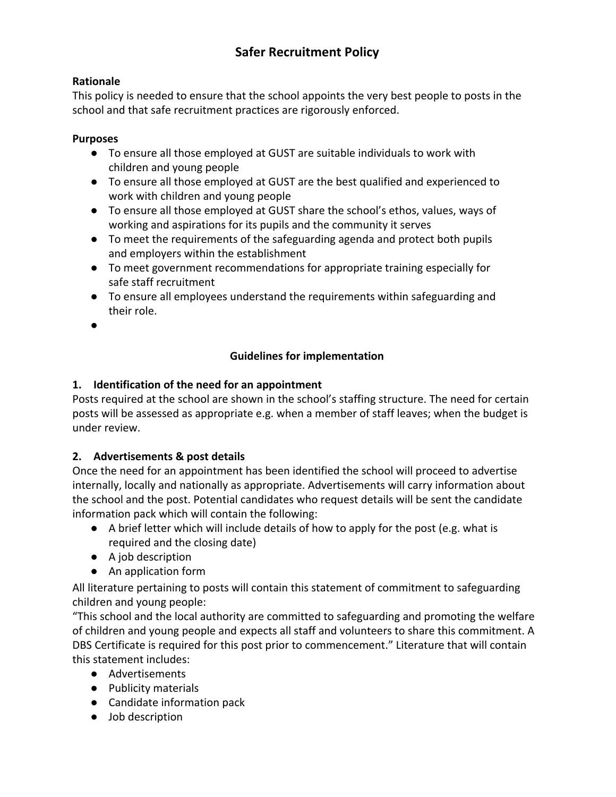## **Safer Recruitment Policy**

### **Rationale**

This policy is needed to ensure that the school appoints the very best people to posts in the school and that safe recruitment practices are rigorously enforced.

#### **Purposes**

- To ensure all those employed at GUST are suitable individuals to work with children and young people
- To ensure all those employed at GUST are the best qualified and experienced to work with children and young people
- To ensure all those employed at GUST share the school's ethos, values, ways of working and aspirations for its pupils and the community it serves
- To meet the requirements of the safeguarding agenda and protect both pupils and employers within the establishment
- To meet government recommendations for appropriate training especially for safe staff recruitment
- To ensure all employees understand the requirements within safeguarding and their role.
- ●

### **Guidelines for implementation**

### **1. Identification of the need for an appointment**

Posts required at the school are shown in the school's staffing structure. The need for certain posts will be assessed as appropriate e.g. when a member of staff leaves; when the budget is under review.

## **2. Advertisements & post details**

Once the need for an appointment has been identified the school will proceed to advertise internally, locally and nationally as appropriate. Advertisements will carry information about the school and the post. Potential candidates who request details will be sent the candidate information pack which will contain the following:

- $\bullet$  A brief letter which will include details of how to apply for the post (e.g. what is required and the closing date)
- A job description
- An application form

All literature pertaining to posts will contain this statement of commitment to safeguarding children and young people:

"This school and the local authority are committed to safeguarding and promoting the welfare of children and young people and expects all staff and volunteers to share this commitment. A DBS Certificate is required for this post prior to commencement." Literature that will contain this statement includes:

- Advertisements
- Publicity materials
- Candidate information pack
- Job description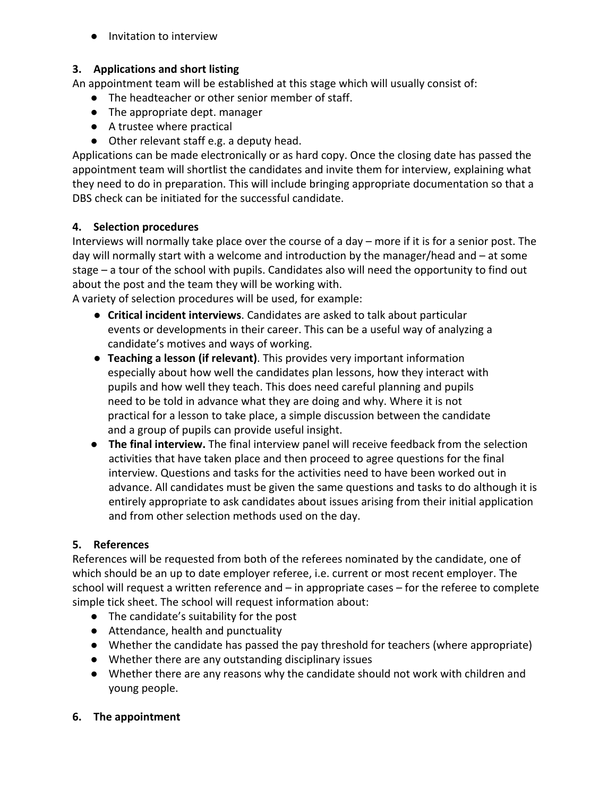● Invitation to interview

#### **3. Applications and short listing**

An appointment team will be established at this stage which will usually consist of:

- The headteacher or other senior member of staff.
- The appropriate dept. manager
- A trustee where practical
- Other relevant staff e.g. a deputy head.

Applications can be made electronically or as hard copy. Once the closing date has passed the appointment team will shortlist the candidates and invite them for interview, explaining what they need to do in preparation. This will include bringing appropriate documentation so that a DBS check can be initiated for the successful candidate.

### **4. Selection procedures**

Interviews will normally take place over the course of a day – more if it is for a senior post. The day will normally start with a welcome and introduction by the manager/head and – at some stage – a tour of the school with pupils. Candidates also will need the opportunity to find out about the post and the team they will be working with.

A variety of selection procedures will be used, for example:

- **Critical incident interviews**. Candidates are asked to talk about particular events or developments in their career. This can be a useful way of analyzing a candidate's motives and ways of working.
- **Teaching a lesson (if relevant)**. This provides very important information especially about how well the candidates plan lessons, how they interact with pupils and how well they teach. This does need careful planning and pupils need to be told in advance what they are doing and why. Where it is not practical for a lesson to take place, a simple discussion between the candidate and a group of pupils can provide useful insight.
- **● The final interview.** The final interview panel will receive feedback from the selection activities that have taken place and then proceed to agree questions for the final interview. Questions and tasks for the activities need to have been worked out in advance. All candidates must be given the same questions and tasks to do although it is entirely appropriate to ask candidates about issues arising from their initial application and from other selection methods used on the day.

## **5. References**

References will be requested from both of the referees nominated by the candidate, one of which should be an up to date employer referee, i.e. current or most recent employer. The school will request a written reference and – in appropriate cases – for the referee to complete simple tick sheet. The school will request information about:

- The candidate's suitability for the post
- Attendance, health and punctuality
- Whether the candidate has passed the pay threshold for teachers (where appropriate)
- Whether there are any outstanding disciplinary issues
- Whether there are any reasons why the candidate should not work with children and young people.

#### **6. The appointment**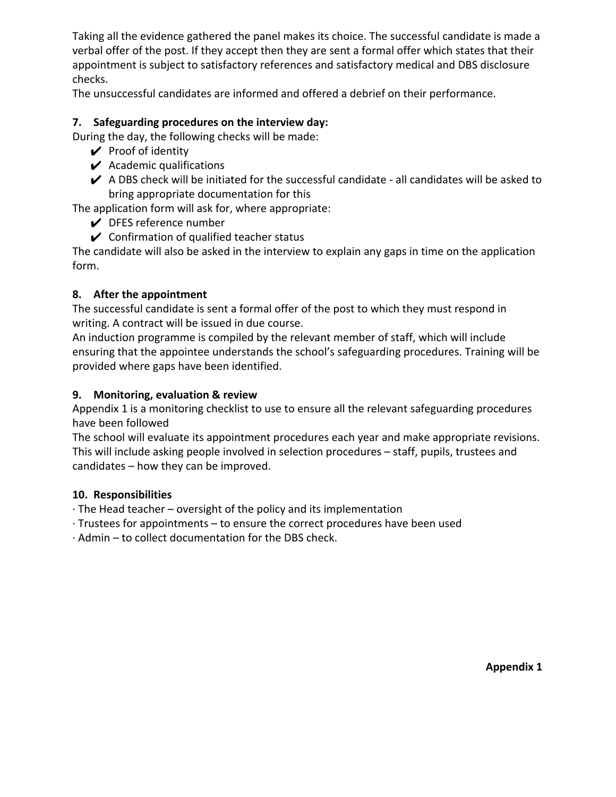Taking all the evidence gathered the panel makes its choice. The successful candidate is made a verbal offer of the post. If they accept then they are sent a formal offer which states that their appointment is subject to satisfactory references and satisfactory medical and DBS disclosure checks.

The unsuccessful candidates are informed and offered a debrief on their performance.

#### **7. Safeguarding procedures on the interview day:**

During the day, the following checks will be made:

- $\mathcal V$  Proof of identity
- $\boldsymbol{\checkmark}$  Academic qualifications
- $\blacktriangleright$  A DBS check will be initiated for the successful candidate all candidates will be asked to bring appropriate documentation for this

The application form will ask for, where appropriate:

- $\vee$  DFES reference number
- $\mathcal V$  Confirmation of qualified teacher status

The candidate will also be asked in the interview to explain any gaps in time on the application form.

#### **8. After the appointment**

The successful candidate is sent a formal offer of the post to which they must respond in writing. A contract will be issued in due course.

An induction programme is compiled by the relevant member of staff, which will include ensuring that the appointee understands the school's safeguarding procedures. Training will be provided where gaps have been identified.

#### **9. Monitoring, evaluation & review**

Appendix 1 is a monitoring checklist to use to ensure all the relevant safeguarding procedures have been followed

The school will evaluate its appointment procedures each year and make appropriate revisions. This will include asking people involved in selection procedures – staff, pupils, trustees and candidates – how they can be improved.

#### **10. Responsibilities**

· The Head teacher – oversight of the policy and its implementation

- · Trustees for appointments to ensure the correct procedures have been used
- · Admin to collect documentation for the DBS check.